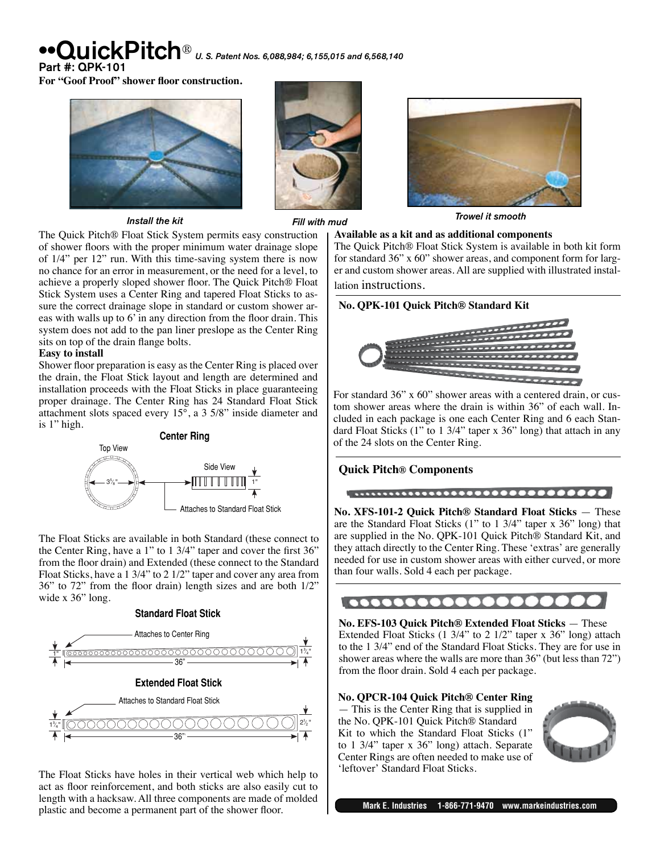# $\mathbf{N}$   $\mathbf{H}$   $\mathbf{c}$   $\mathbf{k}$   $\mathbf{Pit}$   $\mathbf{c}$   $\mathbf{h}$   $\circ$   $\mathbf{u}$   $\mathbf{s}$ . Patent Nos. 6,088,984; 6,155,015 and 6,568,140

Part #: QPK-101

**For "Goof Proof" shower floor construction.**



*Install the kit*





# *Fill with mud Trowel it smooth*

The Quick Pitch® Float Stick System permits easy construction of shower floors with the proper minimum water drainage slope of 1/4" per 12" run. With this time-saving system there is now no chance for an error in measurement, or the need for a level, to achieve a properly sloped shower floor. The Quick Pitch® Float Stick System uses a Center Ring and tapered Float Sticks to assure the correct drainage slope in standard or custom shower areas with walls up to 6' in any direction from the floor drain. This system does not add to the pan liner preslope as the Center Ring sits on top of the drain flange bolts.

#### **Easy to install**

Shower floor preparation is easy as the Center Ring is placed over the drain, the Float Stick layout and length are determined and installation proceeds with the Float Sticks in place guaranteeing proper drainage. The Center Ring has 24 Standard Float Stick attachment slots spaced every 15°, a 3 5/8" inside diameter and is 1" high.



The Float Sticks are available in both Standard (these connect to the Center Ring, have a 1" to 1 3/4" taper and cover the first 36" from the floor drain) and Extended (these connect to the Standard Float Sticks, have a 1 3/4" to 2 1/2" taper and cover any area from 36" to 72" from the floor drain) length sizes and are both 1/2" wide x 36" long.

#### **Standard Float Stick**



The Float Sticks have holes in their vertical web which help to act as floor reinforcement, and both sticks are also easily cut to length with a hacksaw. All three components are made of molded plastic and become a permanent part of the shower floor.

**Available as a kit and as additional components** The Quick Pitch® Float Stick System is available in both kit form for standard 36" x 60" shower areas, and component form for larger and custom shower areas. All are supplied with illustrated installation instructions.

### **No. QPK-101 Quick Pitch® Standard Kit**



For standard 36" x 60" shower areas with a centered drain, or custom shower areas where the drain is within 36" of each wall. Included in each package is one each Center Ring and 6 each Standard Float Sticks (1" to 1 3/4" taper x 36" long) that attach in any of the 24 slots on the Center Ring.

#### **Quick Pitch® Components**

**No. XFS-101-2 Quick Pitch® Standard Float Sticks** — These are the Standard Float Sticks (1" to 1 3/4" taper x 36" long) that are supplied in the No. QPK-101 Quick Pitch® Standard Kit, and they attach directly to the Center Ring. These ʻextras' are generally needed for use in custom shower areas with either curved, or more than four walls. Sold 4 each per package.

### $| 000000000000 |$

**No. EFS-103 Quick Pitch® Extended Float Sticks** — These Extended Float Sticks (1 3/4" to 2 1/2" taper x 36" long) attach to the 1 3/4" end of the Standard Float Sticks. They are for use in shower areas where the walls are more than 36" (but less than 72") from the floor drain. Sold 4 each per package.

#### **No. QPCR-104 Quick Pitch® Center Ring**

— This is the Center Ring that is supplied in the No. QPK-101 Quick Pitch® Standard Kit to which the Standard Float Sticks (1" to 1 3/4" taper x 36" long) attach. Separate Center Rings are often needed to make use of ʻleftover' Standard Float Sticks.